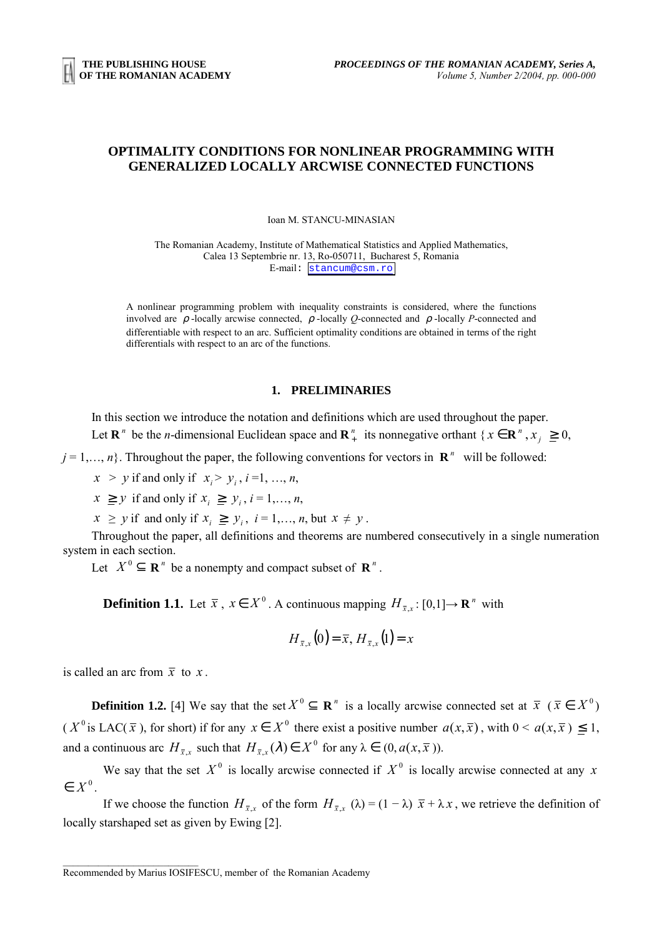## **OPTIMALITY CONDITIONS FOR NONLINEAR PROGRAMMING WITH GENERALIZED LOCALLY ARCWISE CONNECTED FUNCTIONS**

Ioan M. STANCU-MINASIAN

The Romanian Academy, Institute of Mathematical Statistics and Applied Mathematics, Calea 13 Septembrie nr. 13, Ro-050711, Bucharest 5, Romania E-mail: [stancum@csm.ro](mailto:stancum@csm.ro)

A nonlinear programming problem with inequality constraints is considered, where the functions involved are  $\rho$ -locally arcwise connected,  $\rho$ -locally *Q*-connected and  $\rho$ -locally *P*-connected and differentiable with respect to an arc. Sufficient optimality conditions are obtained in terms of the right differentials with respect to an arc of the functions.

## **1. PRELIMINARIES**

In this section we introduce the notation and definitions which are used throughout the paper.

Let  $\mathbf{R}^n$  be the *n*-dimensional Euclidean space and  $\mathbf{R}^n_+$  its nonnegative orthant {  $x \in \mathbf{R}^n$ ,  $x_j \ge 0$ ,

 $j = 1, \ldots, n$ . Throughout the paper, the following conventions for vectors in  $\mathbb{R}^n$  will be followed:

 $x > y$  if and only if  $x_i > y_i$ ,  $i = 1, ..., n$ ,

 $x \geq y$  if and only if  $x_i \geq y_i$ ,  $i = 1, \ldots, n$ ,

 $x \geq y$  if and only if  $x_i \geq y_i$ ,  $i = 1, \ldots, n$ , but  $x \neq y$ .

Throughout the paper, all definitions and theorems are numbered consecutively in a single numeration system in each section.

Let  $X^0 \subset \mathbf{R}^n$  be a nonempty and compact subset of  $\mathbf{R}^n$ .

**Definition 1.1.** Let  $\bar{x}$ ,  $x \in X^0$ . A continuous mapping  $H_{\bar{x},x}$ : [0,1] $\rightarrow \mathbf{R}^n$  with

$$
H_{\bar{x},x}(0) = \bar{x}, H_{\bar{x},x}(1) = x
$$

is called an arc from  $\bar{x}$  to x.

**Definition 1.2.** [4] We say that the set  $X^0 \subseteq \mathbb{R}^n$  is a locally arcwise connected set at  $\overline{x}$  ( $\overline{x} \in X^0$ ) (  $X^0$  is LAC( $\bar{x}$ ), for short) if for any  $x \in X^0$  there exist a positive number  $a(x, \bar{x})$ , with  $0 \le a(x, \bar{x}) \le 1$ , and a continuous arc  $H_{\bar{x},x}$  such that  $H_{\bar{x},x}(\lambda) \in X^0$  for any  $\lambda \in (0, a(x, \bar{x}))$ .

We say that the set  $X^0$  is locally arcwise connected if  $X^0$  is locally arcwise connected at any *x*  $\in X^0$ 

If we choose the function  $H_{\bar{x},x}$  of the form  $H_{\bar{x},x}$  ( $\lambda$ ) = (1 –  $\lambda$ )  $\bar{x}$  +  $\lambda x$ , we retrieve the definition of locally starshaped set as given by Ewing [2].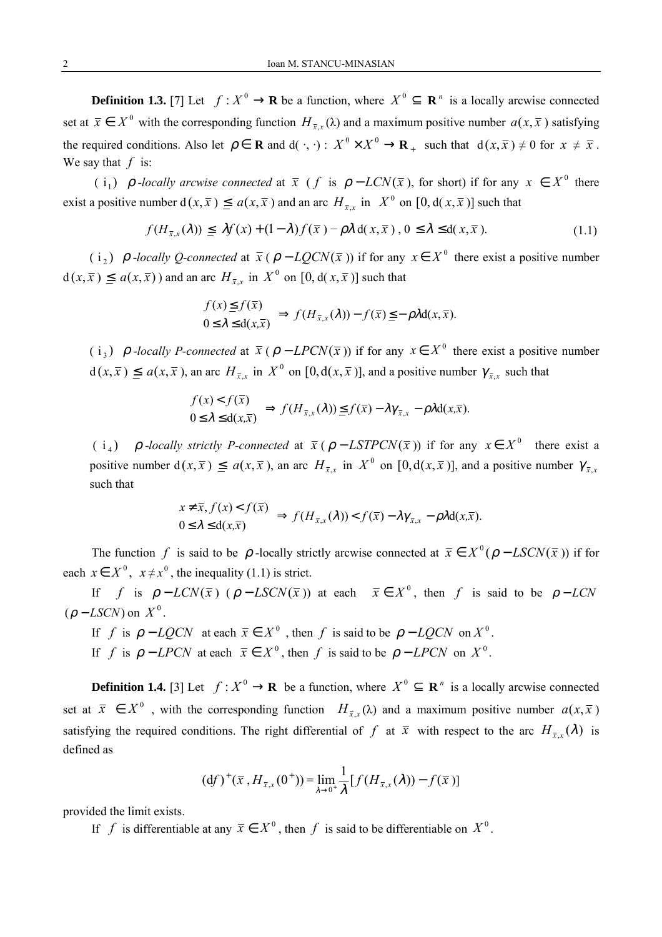**Definition 1.3.** [7] Let  $f: X^0 \to \mathbf{R}$  be a function, where  $X^0 \subseteq \mathbf{R}^n$  is a locally arcwise connected set at  $\bar{x} \in X^0$  with the corresponding function  $H_{\bar{x},x}(\lambda)$  and a maximum positive number  $a(x,\bar{x})$  satisfying the required conditions. Also let  $\rho \in \mathbf{R}$  and  $d(\cdot, \cdot)$ :  $X^0 \times X^0 \to \mathbf{R}_+$  such that  $d(x, \overline{x}) \neq 0$  for  $x \neq \overline{x}$ . We say that *f* is:

( i<sub>1</sub>)  $\rho$  *-locally arcwise connected* at  $\bar{x}$  ( *f* is  $\rho$  – *LCN*( $\bar{x}$ ), for short) if for any  $x \in X^0$  there exist a positive number  $d(x, \bar{x}) \le a(x, \bar{x})$  and an arc  $H_{\bar{x},x}$  in  $X^0$  on  $[0, d(x, \bar{x})]$  such that

$$
f(H_{\bar{x},x}(\lambda)) \leq \mathcal{H}(x) + (1 - \lambda)f(\bar{x}) - \rho \lambda \, d(x, \bar{x}), \quad 0 \leq \lambda \leq d(x, \bar{x}). \tag{1.1}
$$

( i<sub>2</sub>)  $\rho$  -*locally Q-connected* at  $\bar{x}$  (  $\rho$  –  $LQCN(\bar{x})$ ) if for any  $x \in X^0$  there exist a positive number  $d(x,\overline{x}) \le a(x,\overline{x})$  and an arc  $H_{\overline{x},x}$  in  $X^0$  on  $[0, d(x,\overline{x})]$  such that

$$
\begin{aligned}\nf(x) &\leq f(\overline{x}) \\
0 &\leq \lambda \leq d(x,\overline{x})\n\end{aligned}\n\Rightarrow f(H_{\overline{x},x}(\lambda)) - f(\overline{x}) \leq -\rho \lambda d(x,\overline{x}).
$$

( i<sub>3</sub>)  $\rho$  *-locally P-connected* at  $\bar{x}$  (  $\rho$  – *LPCN*( $\bar{x}$ )) if for any  $x \in X^0$  there exist a positive number  $d(x, \overline{x}) \le a(x, \overline{x})$ , an arc  $H_{\overline{x}}$ , in  $X^0$  on  $[0, d(x, \overline{x})]$ , and a positive number  $\gamma_{\overline{x}}$ , such that

$$
\begin{aligned}\nf(x) &< f(\overline{x}) \\
0 &\le \lambda \le d(x,\overline{x})\n\end{aligned}\n\right\} \Rightarrow f(H_{\overline{x},x}(\lambda)) \le f(\overline{x}) - \lambda \gamma_{\overline{x},x} - \rho \lambda d(x,\overline{x}).
$$

( i<sub>4</sub>)  $\rho$ -*locally strictly P-connected* at  $\bar{x}$  ( $\rho$  – *LSTPCN*( $\bar{x}$ )) if for any  $x \in X^0$  there exist a positive number  $d(x, \bar{x}) \leq a(x, \bar{x})$ , an arc  $H_{\bar{x}x}$  in  $X^0$  on  $[0, d(x, \bar{x})]$ , and a positive number  $\gamma_{\bar{x}x}$ such that

$$
\begin{aligned}\nx \neq \overline{x}, & f(x) < f(\overline{x}) \\
0 &\leq \lambda \leq d(x,\overline{x})\n\end{aligned}\n\Rightarrow f(H_{\overline{x},x}(\lambda)) < f(\overline{x}) - \lambda \gamma_{\overline{x},x} - \rho \lambda d(x,\overline{x}).
$$

The function *f* is said to be  $\rho$ -locally strictly arcwise connected at  $\bar{x} \in X^0(\rho - LSCN(\bar{x}))$  if for each  $x \in X^0$ ,  $x \neq x^0$ , the inequality (1.1) is strict.

If *f* is  $\rho - LCN(\bar{x})$  ( $\rho - LSCN(\bar{x})$ ) at each  $\bar{x} \in X^0$ , then *f* is said to be  $\rho - LCN$  $(\rho - LSCN)$  on  $X^0$ .

If *f* is  $\rho - LQCN$  at each  $\bar{x} \in X^0$ , then *f* is said to be  $\rho - LQCN$  on  $X^0$ . If *f* is  $\rho$  − *LPCN* at each  $\bar{x} \in X^0$ , then *f* is said to be  $\rho$  − *LPCN* on  $X^0$ .

**Definition 1.4.** [3] Let  $f: X^0 \to \mathbf{R}$  be a function, where  $X^0 \subseteq \mathbf{R}^n$  is a locally arcwise connected set at  $\bar{x} \in X^0$ , with the corresponding function  $H_{\bar{x},x}(\lambda)$  and a maximum positive number  $a(x,\bar{x})$ satisfying the required conditions. The right differential of *f* at  $\bar{x}$  with respect to the arc  $H_{\bar{x}}(\lambda)$  is defined as

$$
(\mathrm{d}f)^{+}(\bar{x}, H_{\bar{x},x}(0^{+})) = \lim_{\lambda \to 0^{+}} \frac{1}{\lambda} [f(H_{\bar{x},x}(\lambda)) - f(\bar{x})]
$$

provided the limit exists.

If *f* is differentiable at any  $\bar{x} \in X^0$ , then *f* is said to be differentiable on  $X^0$ .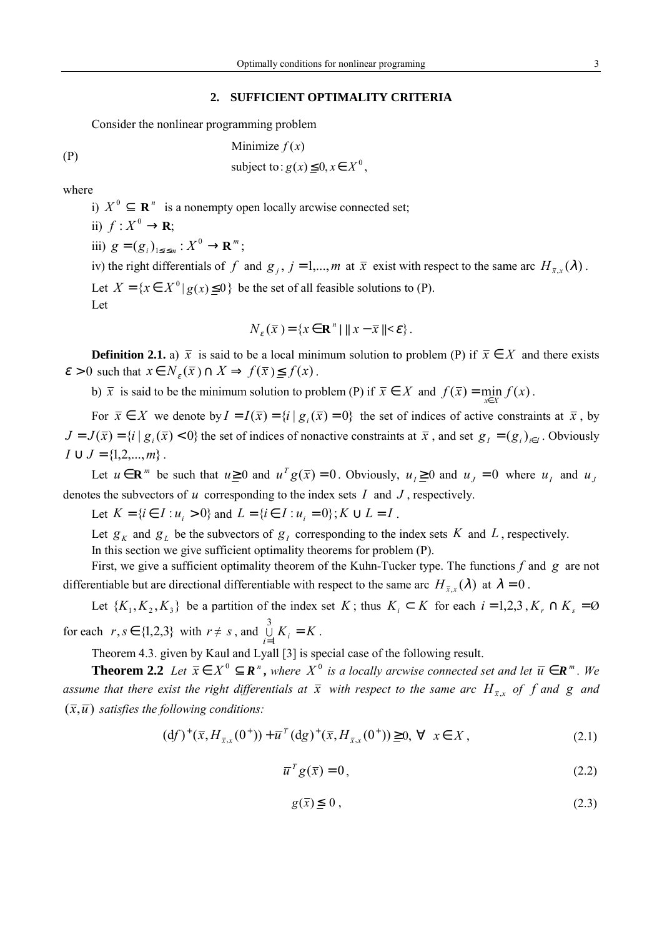## **2. SUFFICIENT OPTIMALITY CRITERIA**

Consider the nonlinear programming problem

(P)  
\n
$$
\begin{cases}\n\text{Minimize } f(x) \\
\text{subject to: } g(x) \leq 0, x \in X^0,\n\end{cases}
$$

where

i)  $X^0 \subseteq \mathbb{R}^n$  is a nonempty open locally arcwise connected set;

ii)  $f: X^0 \to \mathbf{R}$ ;

iii)  $g = (g_i)_{1 \le i \le m} : X^0 \to \mathbf{R}^m$ ;

iv) the right differentials of *f* and  $g_j$ ,  $j = 1,...,m$  at  $\bar{x}$  exist with respect to the same arc  $H_{\bar{x},x}(\lambda)$ . Let  $X = \{x \in X^0 | g(x) \le 0\}$  be the set of all feasible solutions to (P). Let

$$
N_{\varepsilon}(\overline{x}) = \{ x \in \mathbf{R}^n \mid ||x - \overline{x}|| < \varepsilon \}.
$$

**Definition 2.1.** a)  $\bar{x}$  is said to be a local minimum solution to problem (P) if  $\bar{x} \in X$  and there exists  $\varepsilon > 0$  such that  $x \in N<sub>\varepsilon</sub>(\overline{x}) \cap X \implies f(\overline{x}) \le f(x)$ .

b)  $\bar{x}$  is said to be the minimum solution to problem (P) if  $\bar{x} \in X$  and  $f(\bar{x}) = \min f(x)$ .

For  $\bar{x} \in X$  we denote by  $I = I(\bar{x}) = \{i \mid g_i(\bar{x}) = 0\}$  the set of indices of active constraints at  $\bar{x}$ , by  $J = J(\bar{x}) = \{i \mid g_i(\bar{x}) < 0\}$  the set of indices of nonactive constraints at  $\bar{x}$ , and set  $g_j = (g_j)_{j \in J}$ . Obviously  $I \cup J = \{1, 2, ..., m\}$ .

Let  $u \in \mathbb{R}^m$  be such that  $u \ge 0$  and  $u^T g(\bar{x}) = 0$ . Obviously,  $u_i \ge 0$  and  $u_i = 0$  where  $u_i$  and  $u_i$ denotes the subvectors of *u* corresponding to the index sets *I* and *J* , respectively.

Let  $K = \{ i \in I : u_i > 0 \}$  and  $L = \{ i \in I : u_i = 0 \}$ ;  $K \cup L = I$ .

Let  $g_K$  and  $g_L$  be the subvectors of  $g_I$  corresponding to the index sets K and L, respectively. In this section we give sufficient optimality theorems for problem (P).

First, we give a sufficient optimality theorem of the Kuhn-Tucker type. The functions *f* and *g* are not differentiable but are directional differentiable with respect to the same arc  $H_{\bar{x},x}(\lambda)$  at  $\lambda = 0$ .

Let  $\{K_1, K_2, K_3\}$  be a partition of the index set *K*; thus  $K_i \subset K$  for each  $i = 1, 2, 3, K_r \cap K_s = \emptyset$ for each  $r, s \in \{1,2,3\}$  with  $r \neq s$ , and  $\bigcup_{i=1}^{n} K_i = K$  $\bigcup_{i=1}^{3} K_i = K$ .

Theorem 4.3. given by Kaul and Lyall [3] is special case of the following result.

**Theorem 2.2** Let  $\bar{x} \in X^0 \subseteq \mathbb{R}^n$ , where  $X^0$  is a locally arcwise connected set and let  $\bar{u} \in \mathbb{R}^m$ . We *assume that there exist the right differentials at*  $\bar{x}$  with respect to the same arc  $H_{\bar{x},x}$  of f and g and  $(\bar{x}, \bar{u})$  *satisfies the following conditions:* 

$$
(df)^{+}(\bar{x}, H_{\bar{x},x}(0^{+})) + \bar{u}^{T}(dg)^{+}(\bar{x}, H_{\bar{x},x}(0^{+})) \ge 0, \forall x \in X,
$$
\n(2.1)

$$
\overline{u}^T g(\overline{x}) = 0, \tag{2.2}
$$

$$
g(\bar{x}) \leq 0, \tag{2.3}
$$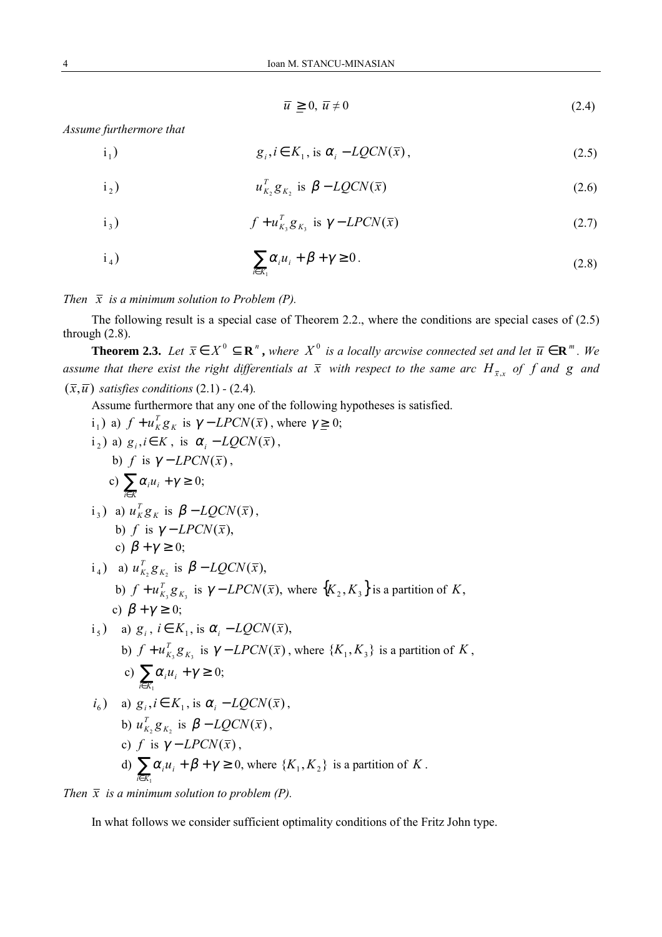$$
\overline{u} \geq 0, \ \overline{u} \neq 0 \tag{2.4}
$$

*Assume furthermore that*

$$
i_1) \t g_i, i \in K_1, \text{ is } \alpha_i - LQCN(\bar{x}), \t (2.5)
$$

$$
u_{K_2}^T g_{K_2} \text{ is } \beta - LQCN(\bar{x}) \tag{2.6}
$$

$$
i_3) \t f + u_{K_3}^T g_{K_3} \t is \t \gamma - LPCN(\bar{x}) \t (2.7)
$$

$$
i_4) \qquad \sum_{i \in K_1} \alpha_i u_i + \beta + \gamma \ge 0. \tag{2.8}
$$

*Then*  $\bar{x}$  *is a minimum solution to Problem (P).* 

The following result is a special case of Theorem 2.2., where the conditions are special cases of (2.5) through (2.8).

**Theorem 2.3.** Let  $\bar{x} \in X^0 \subseteq \mathbb{R}^n$ , where  $X^0$  is a locally arcwise connected set and let  $\bar{u} \in \mathbb{R}^m$ . We *assume that there exist the right differentials at*  $\bar{x}$  with respect to the same arc  $H_{\bar{x},x}$  of f and g and  $(\bar{x}, \bar{u})$  *satisfies conditions* (2.1) - (2.4)*.* 

Assume furthermore that any one of the following hypotheses is satisfied.

 $i_1$ ) a)  $f + u_K^T g_K$  is  $\gamma - LPCN(\bar{x})$ , where  $\gamma \ge 0$ ;  $i_2$ ) a)  $g_i, i \in K$ , is  $\alpha_i - LQCN(\bar{x})$ , b) *f* is  $\gamma - LPCN(\bar{x})$ , c)  $\sum_{i \in K} \alpha_i u_i + \gamma \geq 0;$ *i K*  $i_3$ ) a)  $u_K^T g_K$  is  $\beta - LQCN(\bar{x})$ , b) *f* is  $\gamma$  – *LPCN*( $\bar{x}$ ), c)  $\beta + \gamma \geq 0$ ;  $i_4$ ) a)  $u_{K_2}^T g_{K_2}$  is  $\beta - LQCN(\bar{x})$ , b)  $f + u_{K_3}^T g_{K_3}$  is  $\gamma - LPCN(\bar{x})$ , where  $\{K_2, K_3\}$  is a partition of *K*, c)  $\beta + \gamma \geq 0$ ;  $i_{s}$ ) a)  $g_{i}$ ,  $i \in K_{1}$ , is  $\alpha_{i} - LOGN(\bar{x})$ , b)  $f + u_{K_3}^T g_{K_3}$  is  $\gamma$  – *LPCN*( $\bar{x}$ ), where { $K_1, K_3$ } is a partition of  $K$ , c)  $\sum_{i\in K_1}\alpha_i u_i + \gamma \geq$  $i \in K_1$  $\alpha_i u_i + \gamma \geq 0;$  $i_6$ ) a)  $g_i$ ,  $i \in K_1$ , is  $\alpha_i - LQCN(\bar{x})$ , b)  $u_{K_2}^T g_{K_2}$  is  $\beta - LQCN(\bar{x})$ , c) *f* is  $\gamma$  – *LPCN*( $\bar{x}$ ), d)  $\sum_{i\in K_1}\alpha_i u_i + \beta + \gamma \geq$  $i \in K_1$  $\alpha_i u_i + \beta + \gamma \ge 0$ , where  $\{K_1, K_2\}$  is a partition of *K*.

*Then*  $\bar{x}$  *is a minimum solution to problem (P).* 

In what follows we consider sufficient optimality conditions of the Fritz John type.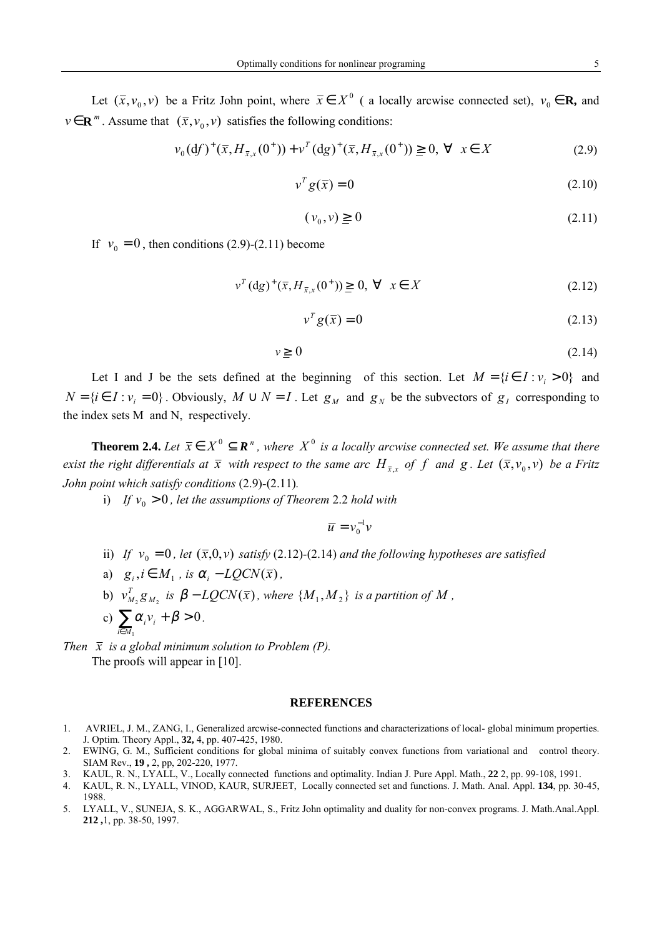Let  $(\bar{x}, v_0, v)$  be a Fritz John point, where  $\bar{x} \in X^0$  ( a locally arcwise connected set),  $v_0 \in \mathbf{R}$ , and  $v \in \mathbb{R}^m$ . Assume that  $(\bar{x}, v_0, v)$  satisfies the following conditions:

$$
\nu_0(df)^+(\bar{x}, H_{\bar{x},x}(0^+)) + \nu^T (dg)^+(\bar{x}, H_{\bar{x},x}(0^+)) \geq 0, \ \forall \ \ x \in X \tag{2.9}
$$

$$
v^T g(\overline{x}) = 0 \tag{2.10}
$$

$$
(\nu_0, \nu) \ge 0 \tag{2.11}
$$

If  $v_0 = 0$ , then conditions (2.9)-(2.11) become

$$
v^{T} (dg)^{+} (\bar{x}, H_{\bar{x},x}(0^{+})) \geq 0, \ \forall \ \ x \in X
$$
 (2.12)

$$
v^T g(\overline{x}) = 0 \tag{2.13}
$$

$$
v \ge 0 \tag{2.14}
$$

Let I and J be the sets defined at the beginning of this section. Let  $M = \{ i \in I : v_i > 0 \}$  and  $N = \{ i \in I : v_i = 0 \}$ . Obviously,  $M \cup N = I$ . Let  $g_M$  and  $g_N$  be the subvectors of  $g_I$  corresponding to the index sets M and N, respectively.

**Theorem 2.4.** *Let*  $\bar{x} \in X^0 \subseteq \mathbb{R}^n$ , where  $X^0$  is a locally arcwise connected set. We assume that there *exist the right differentials at*  $\bar{x}$  *with respect to the same arc*  $H_{\bar{x},x}$  *of*  $f$  *and*  $g$ . Let  $(\bar{x}, v_0, v)$  *be a Fritz John point which satisfy conditions* (2.9)*-*(2.11)*.*

i) *If*  $v_0 > 0$ , let the assumptions of Theorem 2.2 hold with

 $\overline{u} = v_0^{-1}v_0$  $= v_0^-$ 

- ii) *If*  $v_0 = 0$ *, let*  $(\bar{x},0,v)$  *satisfy* (2.12)-(2.14) *and the following hypotheses are satisfied*
- a)  $g_i, i \in M_1$ , is  $\alpha_i LOCN(\bar{x})$ ,
- b)  $v_{M_2}^T g_{M_2}$  is  $\beta LQCN(\bar{x})$ , where  $\{M_1, M_2\}$  is a partition of M,
- c)  $\sum \alpha_i v_i + \beta > 0$  $\sum_{i\in M_1}\!\!\alpha_i^{\phantom i}\nu_i^{\phantom i}+\beta^{\phantom i}$ *i M*  $i v_i + \beta > 0$ .

*Then*  $\bar{x}$  *is a global minimum solution to Problem (P).* The proofs will appear in [10].

## **REFERENCES**

- 1. AVRIEL, J. M., ZANG, I., Generalized arcwise-connected functions and characterizations of local- global minimum properties. J. Optim. Theory Appl., **32,** 4, pp. 407-425, 1980.
- 2. EWING, G. M., Sufficient conditions for global minima of suitably convex functions from variational and control theory. SIAM Rev., **19 ,** 2, pp, 202-220, 1977.
- 3. KAUL, R. N., LYALL, V., Locally connected functions and optimality. Indian J. Pure Appl. Math., **22** 2, pp. 99-108, 1991.
- 4. KAUL, R. N., LYALL, VINOD, KAUR, SURJEET, Locally connected set and functions. J. Math. Anal. Appl. **134**, pp. 30-45, 1988.
- 5. LYALL, V., SUNEJA, S. K., AGGARWAL, S., Fritz John optimality and duality for non-convex programs. J. Math.Anal.Appl. **212 ,**1, pp. 38-50, 1997.